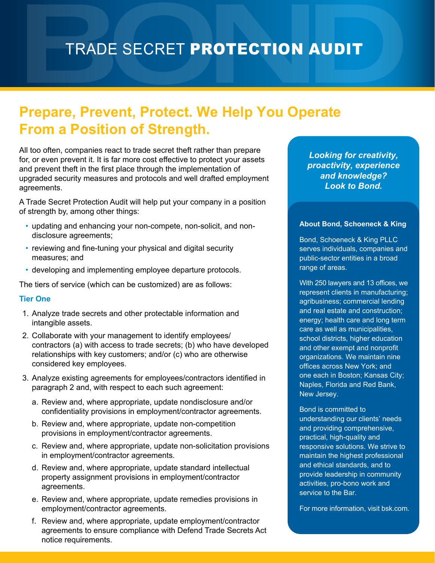# TRADE SECRET PROTECTION AUDIT

## **Prepare, Prevent, Protect. We Help You Operate From a Position of Strength.**

All too often, companies react to trade secret theft rather than prepare for, or even prevent it. It is far more cost effective to protect your assets and prevent theft in the first place through the implementation of upgraded security measures and protocols and well drafted employment agreements.

A Trade Secret Protection Audit will help put your company in a position of strength by, among other things:

- updating and enhancing your non-compete, non-solicit, and nondisclosure agreements;
- reviewing and fine-tuning your physical and digital security measures; and
- developing and implementing employee departure protocols.

The tiers of service (which can be customized) are as follows:

### **Tier One**

- 1. Analyze trade secrets and other protectable information and intangible assets.
- 2. Collaborate with your management to identify employees/ contractors (a) with access to trade secrets; (b) who have developed relationships with key customers; and/or (c) who are otherwise considered key employees.
- 3. Analyze existing agreements for employees/contractors identified in paragraph 2 and, with respect to each such agreement:
	- a. Review and, where appropriate, update nondisclosure and/or confidentiality provisions in employment/contractor agreements.
	- b. Review and, where appropriate, update non-competition provisions in employment/contractor agreements.
	- c. Review and, where appropriate, update non-solicitation provisions in employment/contractor agreements.
	- d. Review and, where appropriate, update standard intellectual property assignment provisions in employment/contractor agreements.
	- e. Review and, where appropriate, update remedies provisions in employment/contractor agreements.
	- f. Review and, where appropriate, update employment/contractor agreements to ensure compliance with Defend Trade Secrets Act notice requirements.

*Looking for creativity, proactivity, experience and knowledge? Look to Bond.*

#### **About Bond, Schoeneck & King**

Bond, Schoeneck & King PLLC serves individuals, companies and public-sector entities in a broad range of areas.

With 250 lawyers and 13 offices, we represent clients in manufacturing; agribusiness; commercial lending and real estate and construction; energy; health care and long term care as well as municipalities, school districts, higher education and other exempt and nonprofit organizations. We maintain nine offices across New York; and one each in Boston; Kansas City; Naples, Florida and Red Bank, New Jersey.

Bond is committed to understanding our clients' needs and providing comprehensive, practical, high-quality and responsive solutions. We strive to maintain the highest professional and ethical standards, and to provide leadership in community activities, pro-bono work and service to the Bar.

For more information, visit bsk.com.